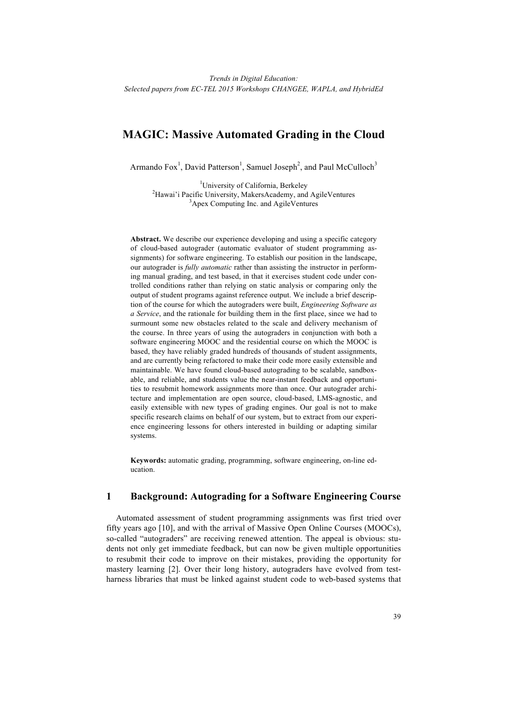# **MAGIC: Massive Automated Grading in the Cloud**

Armando  $Fox<sup>1</sup>$ , David Patterson<sup>1</sup>, Samuel Joseph<sup>2</sup>, and Paul McCulloch<sup>3</sup>

<sup>1</sup>University of California, Berkeley <sup>2</sup>Hawai'i Pacific University, MakersAcademy, and AgileVentures <sup>3</sup>Apex Computing Inc. and AgileVentures

**Abstract.** We describe our experience developing and using a specific category of cloud-based autograder (automatic evaluator of student programming assignments) for software engineering. To establish our position in the landscape, our autograder is *fully automatic* rather than assisting the instructor in performing manual grading, and test based, in that it exercises student code under controlled conditions rather than relying on static analysis or comparing only the output of student programs against reference output. We include a brief description of the course for which the autograders were built, *Engineering Software as a Service*, and the rationale for building them in the first place, since we had to surmount some new obstacles related to the scale and delivery mechanism of the course. In three years of using the autograders in conjunction with both a software engineering MOOC and the residential course on which the MOOC is based, they have reliably graded hundreds of thousands of student assignments, and are currently being refactored to make their code more easily extensible and maintainable. We have found cloud-based autograding to be scalable, sandboxable, and reliable, and students value the near-instant feedback and opportunities to resubmit homework assignments more than once. Our autograder architecture and implementation are open source, cloud-based, LMS-agnostic, and easily extensible with new types of grading engines. Our goal is not to make specific research claims on behalf of our system, but to extract from our experience engineering lessons for others interested in building or adapting similar systems.

**Keywords:** automatic grading, programming, software engineering, on-line education.

## **1 Background: Autograding for a Software Engineering Course**

Automated assessment of student programming assignments was first tried over fifty years ago [10], and with the arrival of Massive Open Online Courses (MOOCs), so-called "autograders" are receiving renewed attention. The appeal is obvious: students not only get immediate feedback, but can now be given multiple opportunities to resubmit their code to improve on their mistakes, providing the opportunity for mastery learning [2]. Over their long history, autograders have evolved from testharness libraries that must be linked against student code to web-based systems that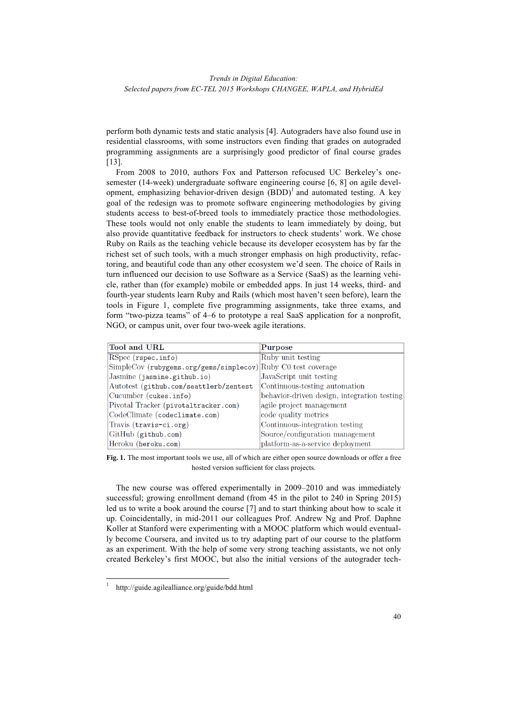perform both dynamic tests and static analysis [4]. Autograders have also found use in residential classrooms, with some instructors even finding that grades on autograded programming assignments are a surprisingly good predictor of final course grades [13].

From 2008 to 2010, authors Fox and Patterson refocused UC Berkeley's onesemester (14-week) undergraduate software engineering course [6, 8] on agile development, emphasizing behavior-driven design  $(BDD)^{1}$  and automated testing. A key goal of the redesign was to promote software engineering methodologies by giving students access to best-of-breed tools to immediately practice those methodologies. These tools would not only enable the students to learn immediately by doing, but also provide quantitative feedback for instructors to check students' work. We chose Ruby on Rails as the teaching vehicle because its developer ecosystem has by far the richest set of such tools, with a much stronger emphasis on high productivity, refactoring, and beautiful code than any other ecosystem we'd seen. The choice of Rails in turn influenced our decision to use Software as a Service (SaaS) as the learning vehicle, rather than (for example) mobile or embedded apps. In just 14 weeks, third- and fourth-year students learn Ruby and Rails (which most haven't seen before), learn the tools in Figure 1, complete five programming assignments, take three exams, and form "two-pizza teams" of 4–6 to prototype a real SaaS application for a nonprofit, NGO, or campus unit, over four two-week agile iterations.

| Tool and URL                            | Purpose                                     |
|-----------------------------------------|---------------------------------------------|
| RSpec (rspec.info)                      | Ruby unit testing                           |
| SimpleCov (rubygems.org/gems/simplecov) | Ruby C <sub>0</sub> test coverage           |
| Jasmine (jasmine.github.io)             | JavaScript unit testing                     |
| Autotest (github.com/seattlerb/zentest  | Continuous-testing automation               |
| Cucumber (cukes.info)                   | behavior-driven design, integration testing |
| Pivotal Tracker (pivotaltracker.com)    | agile project management                    |
| CodeClimate (codeclimate.com)           | code quality metrics                        |
| Travis (travis-ci.org)                  | Continuous-integration testing              |
| GitHub (github.com)                     | Source/configuration management             |
| Heroku (heroku.com)                     | platform-as-a-service deployment            |

**Fig. 1.** The most important tools we use, all of which are either open source downloads or offer a free hosted version sufficient for class projects.

The new course was offered experimentally in 2009–2010 and was immediately successful; growing enrollment demand (from 45 in the pilot to 240 in Spring 2015) led us to write a book around the course [7] and to start thinking about how to scale it up. Coincidentally, in mid-2011 our colleagues Prof. Andrew Ng and Prof. Daphne Koller at Stanford were experimenting with a MOOC platform which would eventually become Coursera, and invited us to try adapting part of our course to the platform as an experiment. With the help of some very strong teaching assistants, we not only created Berkeley's first MOOC, but also the initial versions of the autograder tech-

 <sup>1</sup> http://guide.agilealliance.org/guide/bdd.html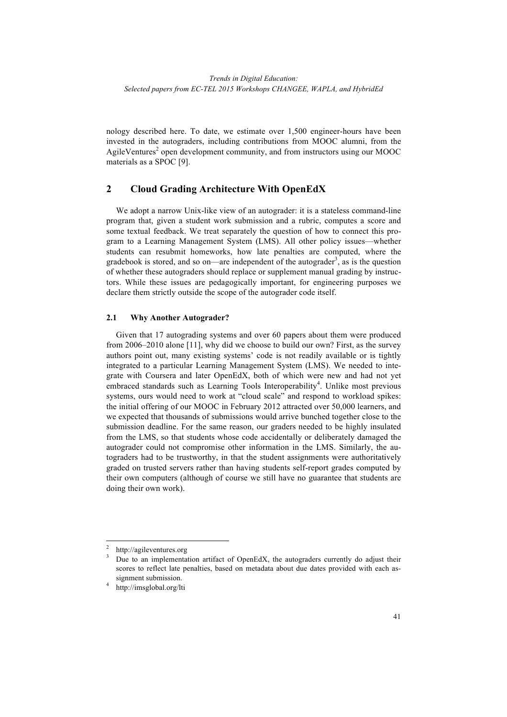nology described here. To date, we estimate over 1,500 engineer-hours have been invested in the autograders, including contributions from MOOC alumni, from the AgileVentures<sup>2</sup> open development community, and from instructors using our MOOC materials as a SPOC [9].

## **2 Cloud Grading Architecture With OpenEdX**

We adopt a narrow Unix-like view of an autograder: it is a stateless command-line program that, given a student work submission and a rubric, computes a score and some textual feedback. We treat separately the question of how to connect this program to a Learning Management System (LMS). All other policy issues—whether students can resubmit homeworks, how late penalties are computed, where the gradebook is stored, and so on—are independent of the autograder<sup>3</sup>, as is the question of whether these autograders should replace or supplement manual grading by instructors. While these issues are pedagogically important, for engineering purposes we declare them strictly outside the scope of the autograder code itself.

#### **2.1 Why Another Autograder?**

Given that 17 autograding systems and over 60 papers about them were produced from 2006–2010 alone [11], why did we choose to build our own? First, as the survey authors point out, many existing systems' code is not readily available or is tightly integrated to a particular Learning Management System (LMS). We needed to integrate with Coursera and later OpenEdX, both of which were new and had not yet embraced standards such as Learning Tools Interoperability<sup>4</sup>. Unlike most previous systems, ours would need to work at "cloud scale" and respond to workload spikes: the initial offering of our MOOC in February 2012 attracted over 50,000 learners, and we expected that thousands of submissions would arrive bunched together close to the submission deadline. For the same reason, our graders needed to be highly insulated from the LMS, so that students whose code accidentally or deliberately damaged the autograder could not compromise other information in the LMS. Similarly, the autograders had to be trustworthy, in that the student assignments were authoritatively graded on trusted servers rather than having students self-report grades computed by their own computers (although of course we still have no guarantee that students are doing their own work).

 <sup>2</sup> http://agileventures.org

Due to an implementation artifact of OpenEdX, the autograders currently do adjust their scores to reflect late penalties, based on metadata about due dates provided with each assignment submission.

<sup>4</sup> http://imsglobal.org/lti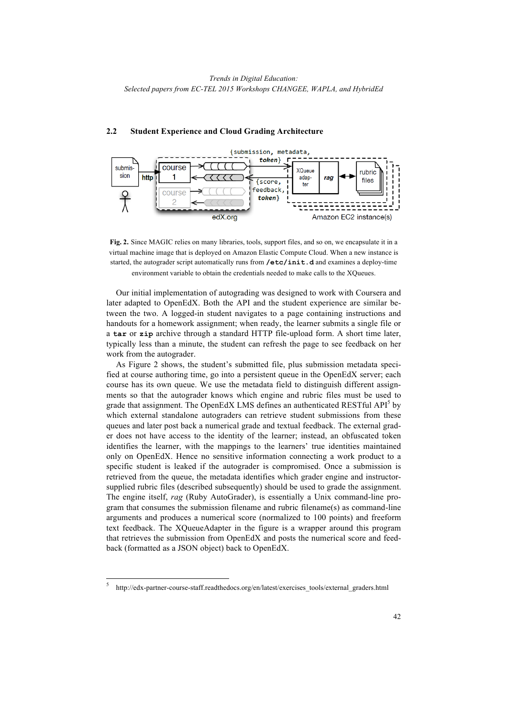

#### **2.2 Student Experience and Cloud Grading Architecture**



Our initial implementation of autograding was designed to work with Coursera and later adapted to OpenEdX. Both the API and the student experience are similar between the two. A logged-in student navigates to a page containing instructions and handouts for a homework assignment; when ready, the learner submits a single file or a **tar** or **zip** archive through a standard HTTP file-upload form. A short time later, typically less than a minute, the student can refresh the page to see feedback on her work from the autograder.

As Figure 2 shows, the student's submitted file, plus submission metadata specified at course authoring time, go into a persistent queue in the OpenEdX server; each course has its own queue. We use the metadata field to distinguish different assignments so that the autograder knows which engine and rubric files must be used to grade that assignment. The OpenEdX LMS defines an authenticated RESTful API $^3$  by which external standalone autograders can retrieve student submissions from these queues and later post back a numerical grade and textual feedback. The external grader does not have access to the identity of the learner; instead, an obfuscated token identifies the learner, with the mappings to the learners' true identities maintained only on OpenEdX. Hence no sensitive information connecting a work product to a specific student is leaked if the autograder is compromised. Once a submission is retrieved from the queue, the metadata identifies which grader engine and instructorsupplied rubric files (described subsequently) should be used to grade the assignment. The engine itself, *rag* (Ruby AutoGrader), is essentially a Unix command-line program that consumes the submission filename and rubric filename(s) as command-line arguments and produces a numerical score (normalized to 100 points) and freeform text feedback. The XQueueAdapter in the figure is a wrapper around this program that retrieves the submission from OpenEdX and posts the numerical score and feedback (formatted as a JSON object) back to OpenEdX.

 <sup>5</sup> http://edx-partner-course-staff.readthedocs.org/en/latest/exercises\_tools/external\_graders.html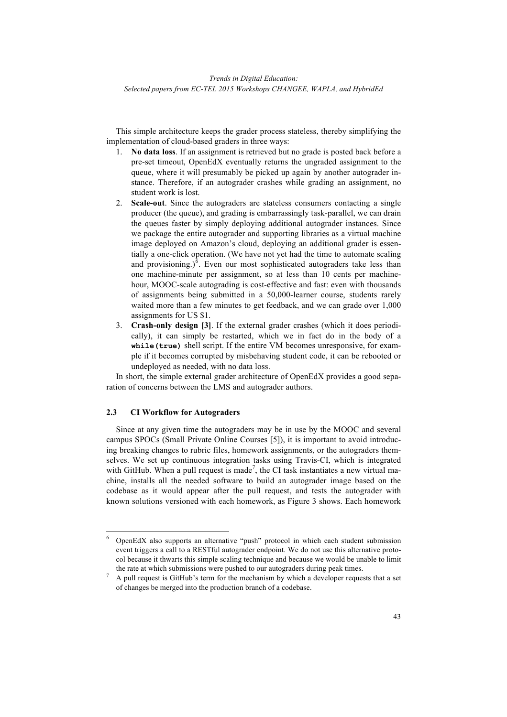This simple architecture keeps the grader process stateless, thereby simplifying the implementation of cloud-based graders in three ways:

- 1. **No data loss**. If an assignment is retrieved but no grade is posted back before a pre-set timeout, OpenEdX eventually returns the ungraded assignment to the queue, where it will presumably be picked up again by another autograder instance. Therefore, if an autograder crashes while grading an assignment, no student work is lost.
- 2. **Scale-out**. Since the autograders are stateless consumers contacting a single producer (the queue), and grading is embarrassingly task-parallel, we can drain the queues faster by simply deploying additional autograder instances. Since we package the entire autograder and supporting libraries as a virtual machine image deployed on Amazon's cloud, deploying an additional grader is essentially a one-click operation. (We have not yet had the time to automate scaling and provisioning.) $6$ . Even our most sophisticated autograders take less than one machine-minute per assignment, so at less than 10 cents per machinehour, MOOC-scale autograding is cost-effective and fast: even with thousands of assignments being submitted in a 50,000-learner course, students rarely waited more than a few minutes to get feedback, and we can grade over 1,000 assignments for US \$1.
- 3. **Crash-only design [3]**. If the external grader crashes (which it does periodically), it can simply be restarted, which we in fact do in the body of a **while(true)** shell script. If the entire VM becomes unresponsive, for example if it becomes corrupted by misbehaving student code, it can be rebooted or undeployed as needed, with no data loss.

In short, the simple external grader architecture of OpenEdX provides a good separation of concerns between the LMS and autograder authors.

### **2.3 CI Workflow for Autograders**

Since at any given time the autograders may be in use by the MOOC and several campus SPOCs (Small Private Online Courses [5]), it is important to avoid introducing breaking changes to rubric files, homework assignments, or the autograders themselves. We set up continuous integration tasks using Travis-CI, which is integrated with GitHub. When a pull request is made<sup>7</sup>, the CI task instantiates a new virtual machine, installs all the needed software to build an autograder image based on the codebase as it would appear after the pull request, and tests the autograder with known solutions versioned with each homework, as Figure 3 shows. Each homework

 <sup>6</sup> OpenEdX also supports an alternative "push" protocol in which each student submission event triggers a call to a RESTful autograder endpoint. We do not use this alternative protocol because it thwarts this simple scaling technique and because we would be unable to limit the rate at which submissions were pushed to our autograders during peak times.

<sup>&</sup>lt;sup>7</sup> A pull request is GitHub's term for the mechanism by which a developer requests that a set of changes be merged into the production branch of a codebase.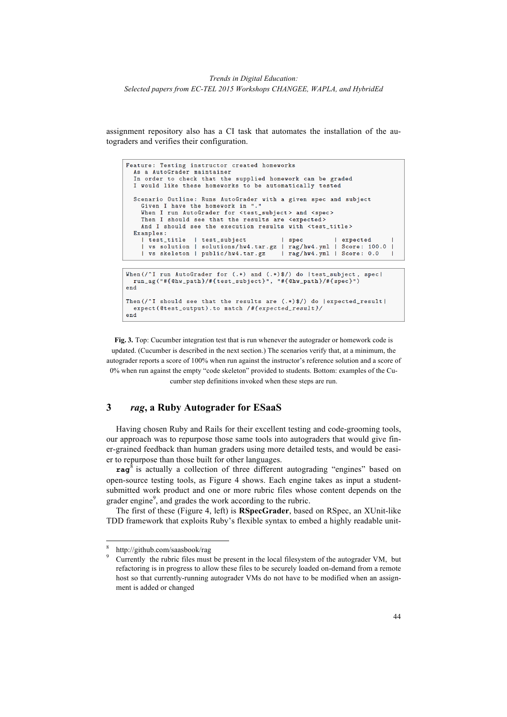assignment repository also has a CI task that automates the installation of the autograders and verifies their configuration.

```
Feature: Testing instructor created homeworks
  As a AutoGrader maintainer
  In order to check that the supplied homework can be graded
  I would like these homeworks to be automatically tested
  Scenario Outline: Runs AutoGrader with a given spec and subject
    Given I have the homework in "
    When I run AutoGrader for <test_subject> and <spec>
    Then I should see that the results are <expected>
    And I should see the execution results with <test_title>
  Examples:
    | test_title
                   | test_subject
                                             | spec
                                                              expected
    | vs solution | solutions/hw4.tar.gz | rag/hw4.yml | Score: 100.0
    | vs skeleton | public/hw4.tar.gz
                                            | rag/hw4.yml | Score: 0.0
When(/^I run AutoGrader for (.*) and (.*)\/) do |test_subject, spec|<br>run_ag("#{@hw_path}/#{test_subject}", "#{@hw_path}/#{spec}")
andThen (/\hat{I} should see that the results are (.*)$/) do |expected_result|
 expect(@test_output).to match /#{expected_result}/
end
```
**Fig. 3.** Top: Cucumber integration test that is run whenever the autograder or homework code is updated. (Cucumber is described in the next section.) The scenarios verify that, at a minimum, the autograder reports a score of 100% when run against the instructor's reference solution and a score of 0% when run against the empty "code skeleton" provided to students. Bottom: examples of the Cucumber step definitions invoked when these steps are run.

## **3** *rag***, a Ruby Autograder for ESaaS**

Having chosen Ruby and Rails for their excellent testing and code-grooming tools, our approach was to repurpose those same tools into autograders that would give finer-grained feedback than human graders using more detailed tests, and would be easier to repurpose than those built for other languages.

**rag**<sup>8</sup> is actually a collection of three different autograding "engines" based on open-source testing tools, as Figure 4 shows. Each engine takes as input a studentsubmitted work product and one or more rubric files whose content depends on the grader engine<sup>9</sup>, and grades the work according to the rubric.

The first of these (Figure 4, left) is **RSpecGrader**, based on RSpec, an XUnit-like TDD framework that exploits Ruby's flexible syntax to embed a highly readable unit-

 <sup>8</sup> http://github.com/saasbook/rag

<sup>9</sup> Currently the rubric files must be present in the local filesystem of the autograder VM, but refactoring is in progress to allow these files to be securely loaded on-demand from a remote host so that currently-running autograder VMs do not have to be modified when an assignment is added or changed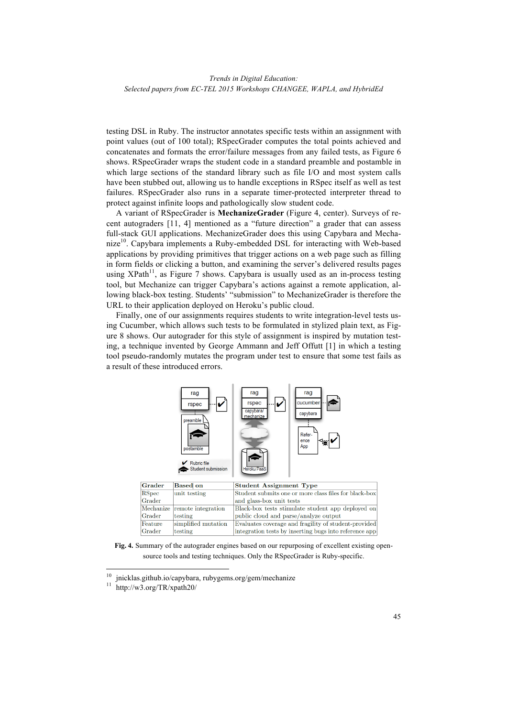testing DSL in Ruby. The instructor annotates specific tests within an assignment with point values (out of 100 total); RSpecGrader computes the total points achieved and concatenates and formats the error/failure messages from any failed tests, as Figure 6 shows. RSpecGrader wraps the student code in a standard preamble and postamble in which large sections of the standard library such as file I/O and most system calls have been stubbed out, allowing us to handle exceptions in RSpec itself as well as test failures. RSpecGrader also runs in a separate timer-protected interpreter thread to protect against infinite loops and pathologically slow student code.

A variant of RSpecGrader is **MechanizeGrader** (Figure 4, center). Surveys of recent autograders [11, 4] mentioned as a "future direction" a grader that can assess full-stack GUI applications. MechanizeGrader does this using Capybara and Mechanize<sup>10</sup>. Capybara implements a Ruby-embedded DSL for interacting with Web-based applications by providing primitives that trigger actions on a web page such as filling in form fields or clicking a button, and examining the server's delivered results pages using  $XPath<sup>11</sup>$ , as Figure 7 shows. Capybara is usually used as an in-process testing tool, but Mechanize can trigger Capybara's actions against a remote application, allowing black-box testing. Students' "submission" to MechanizeGrader is therefore the URL to their application deployed on Heroku's public cloud.

Finally, one of our assignments requires students to write integration-level tests using Cucumber, which allows such tests to be formulated in stylized plain text, as Figure 8 shows. Our autograder for this style of assignment is inspired by mutation testing, a technique invented by George Ammann and Jeff Offutt [1] in which a testing tool pseudo-randomly mutates the program under test to ensure that some test fails as a result of these introduced errors.



**Fig. 4.** Summary of the autograder engines based on our repurposing of excellent existing opensource tools and testing techniques. Only the RSpecGrader is Ruby-specific.

<sup>&</sup>lt;sup>10</sup> jnicklas.github.io/capybara, rubygems.org/gem/mechanize

http://w3.org/TR/xpath20/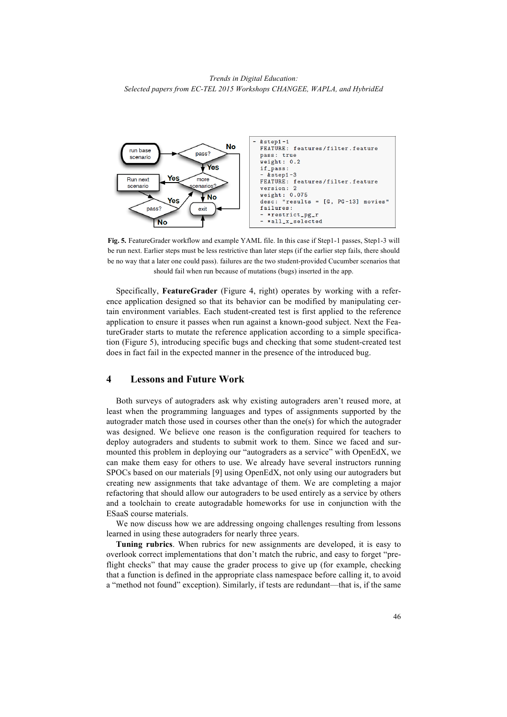

**Fig. 5.** FeatureGrader workflow and example YAML file. In this case if Step1-1 passes, Step1-3 will be run next. Earlier steps must be less restrictive than later steps (if the earlier step fails, there should be no way that a later one could pass). failures are the two student-provided Cucumber scenarios that should fail when run because of mutations (bugs) inserted in the app.

Specifically, **FeatureGrader** (Figure 4, right) operates by working with a reference application designed so that its behavior can be modified by manipulating certain environment variables. Each student-created test is first applied to the reference application to ensure it passes when run against a known-good subject. Next the FeatureGrader starts to mutate the reference application according to a simple specification (Figure 5), introducing specific bugs and checking that some student-created test does in fact fail in the expected manner in the presence of the introduced bug.

### **4 Lessons and Future Work**

Both surveys of autograders ask why existing autograders aren't reused more, at least when the programming languages and types of assignments supported by the autograder match those used in courses other than the one(s) for which the autograder was designed. We believe one reason is the configuration required for teachers to deploy autograders and students to submit work to them. Since we faced and surmounted this problem in deploying our "autograders as a service" with OpenEdX, we can make them easy for others to use. We already have several instructors running SPOCs based on our materials [9] using OpenEdX, not only using our autograders but creating new assignments that take advantage of them. We are completing a major refactoring that should allow our autograders to be used entirely as a service by others and a toolchain to create autogradable homeworks for use in conjunction with the ESaaS course materials.

We now discuss how we are addressing ongoing challenges resulting from lessons learned in using these autograders for nearly three years.

**Tuning rubrics**. When rubrics for new assignments are developed, it is easy to overlook correct implementations that don't match the rubric, and easy to forget "preflight checks" that may cause the grader process to give up (for example, checking that a function is defined in the appropriate class namespace before calling it, to avoid a "method not found" exception). Similarly, if tests are redundant—that is, if the same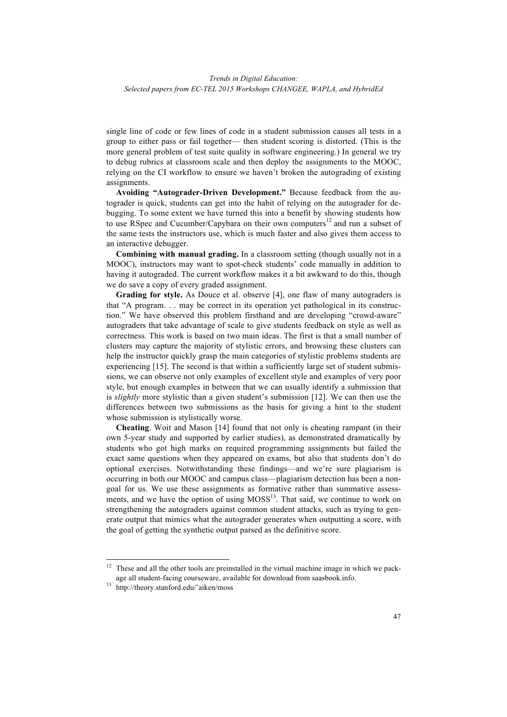single line of code or few lines of code in a student submission causes all tests in a group to either pass or fail together— then student scoring is distorted. (This is the more general problem of test suite quality in software engineering.) In general we try to debug rubrics at classroom scale and then deploy the assignments to the MOOC, relying on the CI workflow to ensure we haven't broken the autograding of existing assignments.

**Avoiding "Autograder-Driven Development."** Because feedback from the autograder is quick, students can get into the habit of relying on the autograder for debugging. To some extent we have turned this into a benefit by showing students how to use RSpec and Cucumber/Capybara on their own computers $12$  and run a subset of the same tests the instructors use, which is much faster and also gives them access to an interactive debugger.

**Combining with manual grading.** In a classroom setting (though usually not in a MOOC), instructors may want to spot-check students' code manually in addition to having it autograded. The current workflow makes it a bit awkward to do this, though we do save a copy of every graded assignment.

**Grading for style.** As Douce et al. observe [4], one flaw of many autograders is that "A program. . . may be correct in its operation yet pathological in its construction." We have observed this problem firsthand and are developing "crowd-aware" autograders that take advantage of scale to give students feedback on style as well as correctness. This work is based on two main ideas. The first is that a small number of clusters may capture the majority of stylistic errors, and browsing these clusters can help the instructor quickly grasp the main categories of stylistic problems students are experiencing [15]. The second is that within a sufficiently large set of student submissions, we can observe not only examples of excellent style and examples of very poor style, but enough examples in between that we can usually identify a submission that is *slightly* more stylistic than a given student's submission [12]. We can then use the differences between two submissions as the basis for giving a hint to the student whose submission is stylistically worse.

**Cheating**. Woit and Mason [14] found that not only is cheating rampant (in their own 5-year study and supported by earlier studies), as demonstrated dramatically by students who got high marks on required programming assignments but failed the exact same questions when they appeared on exams, but also that students don't do optional exercises. Notwithstanding these findings—and we're sure plagiarism is occurring in both our MOOC and campus class—plagiarism detection has been a nongoal for us. We use these assignments as formative rather than summative assessments, and we have the option of using  $MOSS<sup>13</sup>$ . That said, we continue to work on strengthening the autograders against common student attacks, such as trying to generate output that mimics what the autograder generates when outputting a score, with the goal of getting the synthetic output parsed as the definitive score.

 $12$  These and all the other tools are preinstalled in the virtual machine image in which we package all student-facing courseware, available for download from saasbook.info.

<sup>13</sup> http://theory.stanford.edu/˜aiken/moss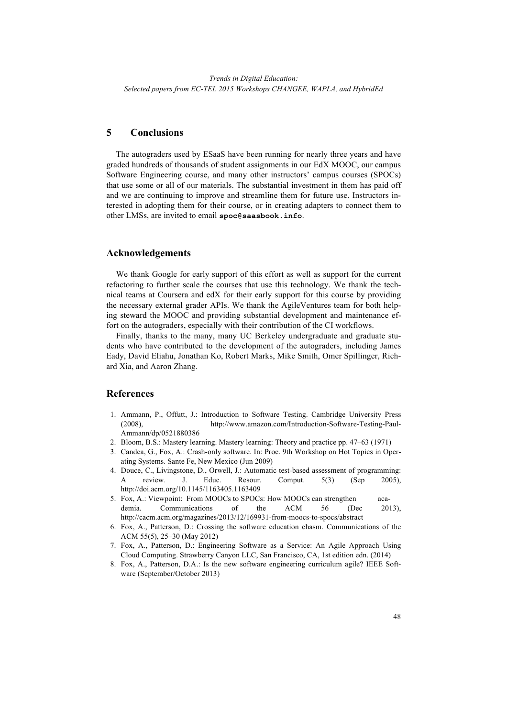## **5 Conclusions**

The autograders used by ESaaS have been running for nearly three years and have graded hundreds of thousands of student assignments in our EdX MOOC, our campus Software Engineering course, and many other instructors' campus courses (SPOCs) that use some or all of our materials. The substantial investment in them has paid off and we are continuing to improve and streamline them for future use. Instructors interested in adopting them for their course, or in creating adapters to connect them to other LMSs, are invited to email **spoc@saasbook.info**.

### **Acknowledgements**

We thank Google for early support of this effort as well as support for the current refactoring to further scale the courses that use this technology. We thank the technical teams at Coursera and edX for their early support for this course by providing the necessary external grader APIs. We thank the AgileVentures team for both helping steward the MOOC and providing substantial development and maintenance effort on the autograders, especially with their contribution of the CI workflows.

Finally, thanks to the many, many UC Berkeley undergraduate and graduate students who have contributed to the development of the autograders, including James Eady, David Eliahu, Jonathan Ko, Robert Marks, Mike Smith, Omer Spillinger, Richard Xia, and Aaron Zhang.

### **References**

- 1. Ammann, P., Offutt, J.: Introduction to Software Testing. Cambridge University Press (2008), http://www.amazon.com/Introduction-Software-Testing-Paul-Ammann/dp/0521880386
- 2. Bloom, B.S.: Mastery learning. Mastery learning: Theory and practice pp. 47–63 (1971)
- 3. Candea, G., Fox, A.: Crash-only software. In: Proc. 9th Workshop on Hot Topics in Operating Systems. Sante Fe, New Mexico (Jun 2009)
- 4. Douce, C., Livingstone, D., Orwell, J.: Automatic test-based assessment of programming: A review. J. Educ. Resour. Comput. 5(3) (Sep 2005), http://doi.acm.org/10.1145/1163405.1163409
- 5. Fox, A.: Viewpoint: From MOOCs to SPOCs: How MOOCs can strengthen academia. Communications of the ACM 56 (Dec 2013), http://cacm.acm.org/magazines/2013/12/169931-from-moocs-to-spocs/abstract
- 6. Fox, A., Patterson, D.: Crossing the software education chasm. Communications of the ACM 55(5), 25–30 (May 2012)
- 7. Fox, A., Patterson, D.: Engineering Software as a Service: An Agile Approach Using Cloud Computing. Strawberry Canyon LLC, San Francisco, CA, 1st edition edn. (2014)
- 8. Fox, A., Patterson, D.A.: Is the new software engineering curriculum agile? IEEE Software (September/October 2013)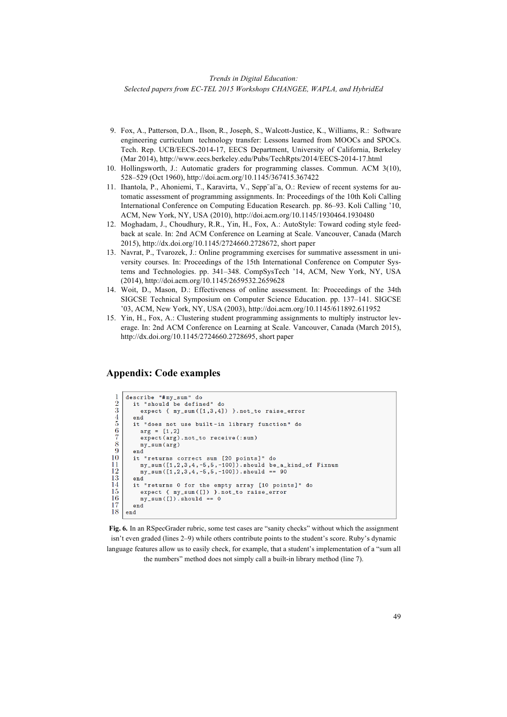- 9. Fox, A., Patterson, D.A., Ilson, R., Joseph, S., Walcott-Justice, K., Williams, R.: Software engineering curriculum technology transfer: Lessons learned from MOOCs and SPOCs. Tech. Rep. UCB/EECS-2014-17, EECS Department, University of California, Berkeley (Mar 2014), http://www.eecs.berkeley.edu/Pubs/TechRpts/2014/EECS-2014-17.html
- 10. Hollingsworth, J.: Automatic graders for programming classes. Commun. ACM 3(10), 528–529 (Oct 1960), http://doi.acm.org/10.1145/367415.367422
- 11. Ihantola, P., Ahoniemi, T., Karavirta, V., Sepp¨al¨a, O.: Review of recent systems for automatic assessment of programming assignments. In: Proceedings of the 10th Koli Calling International Conference on Computing Education Research. pp. 86–93. Koli Calling '10, ACM, New York, NY, USA (2010), http://doi.acm.org/10.1145/1930464.1930480
- 12. Moghadam, J., Choudhury, R.R., Yin, H., Fox, A.: AutoStyle: Toward coding style feedback at scale. In: 2nd ACM Conference on Learning at Scale. Vancouver, Canada (March 2015), http://dx.doi.org/10.1145/2724660.2728672, short paper
- 13. Navrat, P., Tvarozek, J.: Online programming exercises for summative assessment in university courses. In: Proceedings of the 15th International Conference on Computer Systems and Technologies. pp. 341–348. CompSysTech '14, ACM, New York, NY, USA (2014), http://doi.acm.org/10.1145/2659532.2659628
- 14. Woit, D., Mason, D.: Effectiveness of online assessment. In: Proceedings of the 34th SIGCSE Technical Symposium on Computer Science Education. pp. 137–141. SIGCSE '03, ACM, New York, NY, USA (2003), http://doi.acm.org/10.1145/611892.611952
- 15. Yin, H., Fox, A.: Clustering student programming assignments to multiply instructor leverage. In: 2nd ACM Conference on Learning at Scale. Vancouver, Canada (March 2015), http://dx.doi.org/10.1145/2724660.2728695, short paper

## **Appendix: Code examples**

```
describe "#my_sum" do
 \frac{1}{2} 3<br>\frac{4}{5}it "should be defined" do
           expect { my_sum([1,3,4]) }.not_to raise_error
         endit "does not use built-in library function" do
 rac{6}{7}arg = [1, 2]expect (arg).not_to receive (: sum)
 \frac{8}{9}my\_sum (arg)end
1\bar{0}it "returns correct sum [20 points]" do
\frac{11}{12}my_sum([1,2,3,4,-5,5,-100]).should be_a_kind_of Fixnum<br>my_sum([1,2,3,4,-5,5,-100]).should be_a_kind_of Fixnum<br>my_sum([1,2,3,4,-5,5,-100]).should == 90
13
        end
14
        it "returns 0 for the empty array [10 points]" do
\frac{15}{16}<br>\frac{1}{17}expect { my_sum([]) }.not_to raise_error
           my_sum([]).should == 0
        end
\overline{18}end
```
**Fig. 6.** In an RSpecGrader rubric, some test cases are "sanity checks" without which the assignment isn't even graded (lines 2–9) while others contribute points to the student's score. Ruby's dynamic language features allow us to easily check, for example, that a student's implementation of a "sum all the numbers" method does not simply call a built-in library method (line 7).